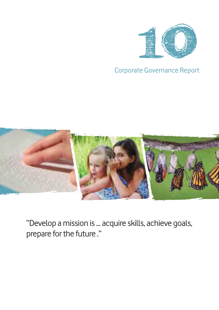

# Corporate Governance Report



"Develop a mission is ... acquire skills, achieve goals, prepare for the future ."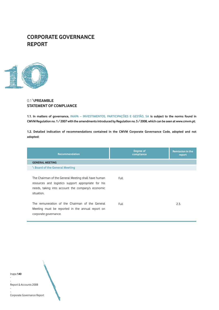## **CORPORATE GOVERNANCE REPORT**



## 0.1 **\PREAMBLE STATEMENT OF COMPLIANCE**

**1.1. In matters of governance, INAPA – INVESTIMENTOS, PARTICIPAÇÕES E GESTÃO, SA is subject to the norms found in CMVM Regulation no. 1 / 2007 with the amendments introduced by Regulation no. 5 / 2008, which can be seen at www.cmvm.pt;**

**1.2. Detailed indication of recommendations contained in the CMVM Corporate Governance Code, adopted and not adopted:**

| <b>Recommendation</b>                                                                                                                                                          | Degree of<br>compliance | <b>Remission in the</b><br>report |
|--------------------------------------------------------------------------------------------------------------------------------------------------------------------------------|-------------------------|-----------------------------------|
| <b>GENERAL MEETING</b>                                                                                                                                                         |                         |                                   |
| <b>Soard of the General Meeting</b>                                                                                                                                            |                         |                                   |
| The Chairman of the General Meeting shall have human<br>resources and logistics support appropriate for his<br>needs, taking into account the company's economic<br>situation. | Full.                   |                                   |
| The remuneration of the Chairman of the General<br>Meeting must be reported in the annual report on<br>corporate governance.                                                   | Full                    | 2.3.                              |

| Inapa 140                   |  |
|-----------------------------|--|
|                             |  |
| Report & Accounts 2008      |  |
| Corporate Governance Report |  |
|                             |  |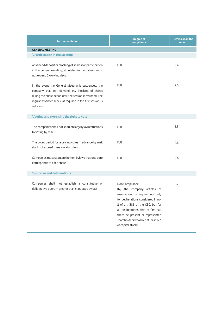| Recommendation                                                                                                                                                                                                                                     | Degree of<br>compliance                                                                                                                                                                                                                                                                                 | <b>Remission in the</b><br>report |
|----------------------------------------------------------------------------------------------------------------------------------------------------------------------------------------------------------------------------------------------------|---------------------------------------------------------------------------------------------------------------------------------------------------------------------------------------------------------------------------------------------------------------------------------------------------------|-----------------------------------|
| <b>GENERAL MEETING</b>                                                                                                                                                                                                                             |                                                                                                                                                                                                                                                                                                         |                                   |
| <b>Neticipation in the Meeting</b>                                                                                                                                                                                                                 |                                                                                                                                                                                                                                                                                                         |                                   |
| Advanced deposit or blocking of shares for participation<br>in the general meeting, stipulated in the bylaws, must<br>not exceed 5 working days.                                                                                                   | Full                                                                                                                                                                                                                                                                                                    | 2.4.                              |
| In the event the General Meeting is suspended, the<br>company shall not demand any blocking of shares<br>during the entire period until the session is resumed. The<br>regular advanced block, as required in the first session, is<br>sufficient. | Full                                                                                                                                                                                                                                                                                                    | 2.5.                              |
| <b>Voting and exercising the right to vote</b>                                                                                                                                                                                                     |                                                                                                                                                                                                                                                                                                         |                                   |
| The companies shall not stipulate any bylaw restrictions<br>to voting by mail.                                                                                                                                                                     | Full                                                                                                                                                                                                                                                                                                    | 2.8.                              |
| The bylaw period for receiving votes in advance by mail<br>shall not exceed three working days.                                                                                                                                                    | Full                                                                                                                                                                                                                                                                                                    | 2.8.                              |
| Companies must stipulate in their bylaws that one vote<br>corresponds to each share.                                                                                                                                                               | Full                                                                                                                                                                                                                                                                                                    | 2.6.                              |
| \ Quorum and deliberations                                                                                                                                                                                                                         |                                                                                                                                                                                                                                                                                                         |                                   |
| Companies shall not establish a constitutive or<br>deliberative quorum greater than stipulated by law                                                                                                                                              | Non Compliance<br>(by the company articles of<br>association it is required not only<br>for deliberations considered in no.<br>2 of art. 383 of the CSC, but for<br>all deliberations, that at first call<br>there be present or represented<br>shareholders who hold at least 1/3<br>of capital stock) | 2.7.                              |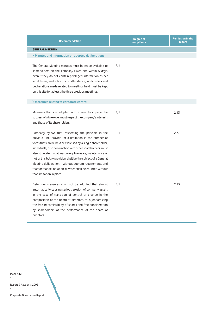| Recommendation                                                                                                                                                                                                                                                                                                                                                                                                                                                                                                                             | Degree of<br>compliance | <b>Remission in the</b><br>report |
|--------------------------------------------------------------------------------------------------------------------------------------------------------------------------------------------------------------------------------------------------------------------------------------------------------------------------------------------------------------------------------------------------------------------------------------------------------------------------------------------------------------------------------------------|-------------------------|-----------------------------------|
| <b>GENERAL MEETING</b>                                                                                                                                                                                                                                                                                                                                                                                                                                                                                                                     |                         |                                   |
| \ Minutes and information on adopted deliberations                                                                                                                                                                                                                                                                                                                                                                                                                                                                                         |                         |                                   |
| The General Meeting minutes must be made available to<br>shareholders on the company's web site within 5 days,<br>even if they do not contain privileged information as per<br>legal terms, and a history of attendance, work orders and<br>deliberations made related to meetings held must be kept<br>on this site for at least the three previous meetings.                                                                                                                                                                             | Full                    |                                   |
| \Measures related to corporate control                                                                                                                                                                                                                                                                                                                                                                                                                                                                                                     |                         |                                   |
| Measures that are adopted with a view to impede the<br>success of a take over must respect the company's interests<br>and those of its shareholders.                                                                                                                                                                                                                                                                                                                                                                                       | Full                    | 2.13.                             |
| Company bylaws that, respecting the principle in the<br>previous line, provide for a limitation in the number of<br>votes that can be held or exercised by a single shareholder,<br>individually or in conjunction with other shareholders, must<br>also stipulate that at least every five years, maintenance or<br>not of this bylaw provision shall be the subject of a General<br>Meeting deliberation - without quorum requirements and<br>that for that deliberation all votes shall be counted without<br>that limitation in place. | Full                    | 2.7.                              |
| Defensive measures shall not be adopted that aim at<br>automatically causing serious erosion of company assets<br>in the case of transition of control or change in the<br>composition of the board of directors, thus jeopardizing<br>the free transmissibility of shares and free consideration<br>by shareholders of the performance of the board of<br>directors.                                                                                                                                                                      | Full                    | 2.13.                             |

Inapa **142**

-

- -

- Report & Accounts 2008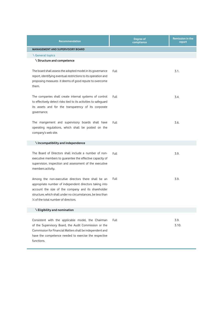| Recommendation                                                                                                                                                                                                                                                                | Degree of<br>compliance | <b>Remission in the</b><br>report |
|-------------------------------------------------------------------------------------------------------------------------------------------------------------------------------------------------------------------------------------------------------------------------------|-------------------------|-----------------------------------|
| <b>MANAGEMENT AND SUPERVISORY BOARD</b>                                                                                                                                                                                                                                       |                         |                                   |
| <b>General topics</b>                                                                                                                                                                                                                                                         |                         |                                   |
| \ Structure and competence                                                                                                                                                                                                                                                    |                         |                                   |
| The board shall assess the adopted model in its governance<br>report, identifying eventual restrictions to its operation and<br>proposing measures it deems of good repute to overcome<br>them.                                                                               | Full                    | 3.1.                              |
| The companies shall create internal systems of control<br>to effectively detect risks tied to its activities to safeguard<br>its assets and for the transparency of its corporate<br>governance.                                                                              | Full                    | 3.4.                              |
| The mangement and supervisory boards shall have<br>operating regulations, which shall be posted on the<br>company's web site.                                                                                                                                                 | Full                    | 3.6.                              |
| \ Incompatibility and independence                                                                                                                                                                                                                                            |                         |                                   |
| The Board of Directors shall include a number of non-<br>executive members to guarantee the effective capacity of<br>supervision, inspection and assessment of the executive<br>members activity.                                                                             | Full                    | 3.9.                              |
| Among the non-executive directors there shall be an<br>appropriate number of independent directors taking into<br>account the size of the company and its shareholder<br>structure, which shall under no circumstances, be less than<br>1⁄4 of the total number of directors. | Full                    | 3.9.                              |
| <b>\Eligibility and nomination</b>                                                                                                                                                                                                                                            |                         |                                   |
| Consistent with the applicable model, the Chairman<br>of the Supervisory Board, the Audit Commission or the<br>Commission for Financial Matters shall be independent and<br>have the competence needed to exercise the respective<br>functions.                               | Full                    | 3.9.<br>3.10.                     |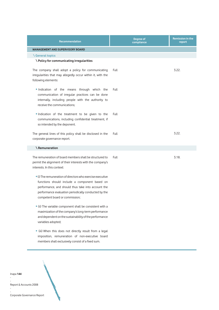| Recommendation                                                                                                                                                                                                                                                      | Degree of<br>compliance | <b>Remission in the</b><br>report |
|---------------------------------------------------------------------------------------------------------------------------------------------------------------------------------------------------------------------------------------------------------------------|-------------------------|-----------------------------------|
| <b>MANAGEMENT AND SUPERVISORY BOARD</b>                                                                                                                                                                                                                             |                         |                                   |
| <b><i><u>Seneral topics</u></i></b>                                                                                                                                                                                                                                 |                         |                                   |
| \ Policy for communicating irregularities                                                                                                                                                                                                                           |                         |                                   |
| The company shall adopt a policy for communicating<br>irregularities that may allegedly occur within it, with the<br>following elements:                                                                                                                            | Full                    | 3.22.                             |
| . Indication of the means through which the<br>communication of irregular practices can be done<br>internally, including people with the authority to<br>receive the communications;                                                                                | Full                    |                                   |
| . Indication of the treatment to be given to the<br>communications, including confidential treatment, if<br>so intended by the deponent.                                                                                                                            | Full                    |                                   |
| The general lines of this policy shall be disclosed in the<br>corporate governance report.                                                                                                                                                                          | Full                    | 3.22.                             |
| <b>\Remuneration</b>                                                                                                                                                                                                                                                |                         |                                   |
| The remuneration of board members shall be structured to<br>permit the alignment of their interests with the company's<br>interests. In this context:                                                                                                               | Full                    | 3.18.                             |
| $\bullet$ (i) The remuneration of directors who exercise executive<br>functions should include a component based on<br>performance, and should thus take into account the<br>performance evaluation periodically conducted by the<br>competent board or commission; |                         |                                   |
| · (ii) The variable component shall be consistent with a<br>maximization of the company's long-term performance<br>and dependent on the sustainability of the performance<br>variables adopted;                                                                     |                         |                                   |
| · (iii) When this does not directly result from a legal<br>imposition, remuneration of non-executive board<br>members shall exclusively consist of a fixed sum.                                                                                                     |                         |                                   |

- - Report & Accounts 2008

Inapa **144**

-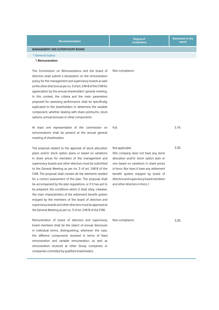|  |  | <b>Recommendation</b> |  |  |  |  |
|--|--|-----------------------|--|--|--|--|
|  |  |                       |  |  |  |  |

**compliance Recommendation**

**Remission in the report**

## **MANAGEMENT AND SUPERVISORY BOARD**

#### **\ General topics**

#### **\ Remuneration**

The Commission on Remunerations and the board of directors shall submit a declaration on the remuneration policy for the management and supervisory boards as well as the other directors as per no. 3 of art. 248-B of the CVM for appreciation by the annual shareholders' general meeting. In this context, the criteria and the main parameters proposed for assessing performance shall be specifically explicated to the shareholders to determine the variable component, whether dealing with share premiums, stock options, annual bonuses or other components.

At least one representative of the commission on remunerations shall be present at the annual general meeting of shareholders.

The proposal related to the approval of stock allocation plans and/or stock option plans or based on variations in share prices for members of the management and supervisory boards and other directors must be submitted to the General Meeting as per no. 3 of art. 248-B of the CVM. The proposal shall contain all the elements needed for a correct assessment of the plan. The proposal shall be accompanied by the plan regulations, or if it has yet to be prepared, the conditions which it shall obey. Likewise, the main characteristics of the retirement benefit system enjoyed by the members of the board of directors and supervisory boards and other directors must be approved at the General Meeting as per no. 3 of art. 248-B of the CVM.

Remuneration of board of directors and supervisory board members shall be the object of annual disclosure in individual terms, distinguishing, whenever the case, the different components received in terms of fixed remuneration and variable remuneration, as well as remuneration received at other Group companies or companies controlled by qualified shareholders.

#### Non-compliance

3.19.

3.20.

#### Not applicable

Full

(the company does not have any stock allocation and/or stock option plan or one based on variations in share prices in force. Nor does it have any retirement benefit system enjoyed by board of directors and supervisory board members and other directors in force. )

Non-compliance

3.20.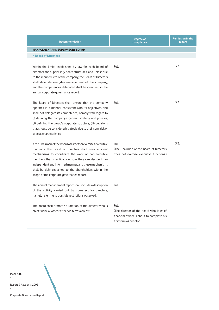| Recommendation                                                                                                                                                                                                                                                                                                                                                                                           | Degree of<br>compliance                                                                                                          | <b>Remission in the</b><br>report |
|----------------------------------------------------------------------------------------------------------------------------------------------------------------------------------------------------------------------------------------------------------------------------------------------------------------------------------------------------------------------------------------------------------|----------------------------------------------------------------------------------------------------------------------------------|-----------------------------------|
| <b>MANAGEMENT AND SUPERVISORY BOARD</b>                                                                                                                                                                                                                                                                                                                                                                  |                                                                                                                                  |                                   |
| <b>Soard of Directors</b>                                                                                                                                                                                                                                                                                                                                                                                |                                                                                                                                  |                                   |
| Within the limits established by law for each board of<br>directors and supervisory board structures, and unless due<br>to the reduced size of the company, the Board of Directors<br>shall delegate everyday management of the company,<br>and the competences delegated shall be identified in the<br>annual corporate governance report.                                                              | Full                                                                                                                             | 3.3.                              |
| The Board of Directors shall ensure that the company<br>operates in a manner consistent with its objectives, and<br>shall not delegate its competence, namely with regard to<br>(i) defining the company's general strategy and policies,<br>(ii) defining the group's corporate structure, (iii) decisions<br>that should be considered strategic due to their sum, risk or<br>special characteristics. | Full                                                                                                                             | 3.3.                              |
| If the Chairman of the Board of Directors exercises executive<br>functions, the Board of Directors shall seek efficient<br>mechanisms to coordinate the work of non-executive<br>members that specifically ensure they can decide in an<br>independent and informed manner, and these mechanisms<br>shall be duly explained to the shareholders within the<br>scope of the corporate governance report.  | Full<br>(The Chairman of the Board of Directors<br>does not exercise executive functions.)                                       | 3.3.                              |
| The annual management report shall include a description<br>of the activity carried out by non-executive directors,<br>namely referring to possible restrictions observed.                                                                                                                                                                                                                               | Full                                                                                                                             |                                   |
| The board shall promote a rotation of the director who is<br>chief financial officer after two terms at least.                                                                                                                                                                                                                                                                                           | <b>Full</b><br>(The director of the board who is chief<br>financial officer is about to complete his<br>first term as director.) |                                   |

#### Inapa **146** -

- -

#### - Report & Accounts 2008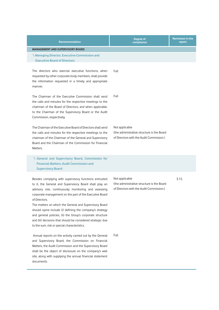| <b>Recommendation</b>                                                                                                                                                                                                                                                                                                                                                                                                                                                                                                                                   | Degree of<br>compliance                                                                                  | <b>Remission in the</b><br>report |
|---------------------------------------------------------------------------------------------------------------------------------------------------------------------------------------------------------------------------------------------------------------------------------------------------------------------------------------------------------------------------------------------------------------------------------------------------------------------------------------------------------------------------------------------------------|----------------------------------------------------------------------------------------------------------|-----------------------------------|
| <b>MANAGEMENT AND SUPERVISORY BOARD</b>                                                                                                                                                                                                                                                                                                                                                                                                                                                                                                                 |                                                                                                          |                                   |
| \ Managing Director, Executive Commission and<br><b>Executive Board of Directors</b>                                                                                                                                                                                                                                                                                                                                                                                                                                                                    |                                                                                                          |                                   |
| The directors who exercise executive functions, when<br>requested by other corporate body members, shall provide<br>the information requested in a timely and appropriate<br>manner.                                                                                                                                                                                                                                                                                                                                                                    | Full                                                                                                     |                                   |
| The Chairman of the Executive Commission shall send<br>the calls and minutes for the respective meetings to the<br>chairman of the Board of Directors, and when applicable,<br>to the Chairman of the Supervisory Board or the Audit<br>Commission, respectively.                                                                                                                                                                                                                                                                                       | <b>Full</b>                                                                                              |                                   |
| The Chairman of the Executive Board of Directors shall send<br>the calls and minutes for the respective meetings to the<br>chairman of the Chairman of the General and Supervisory<br>Board and the Chairman of the Commission for Financial<br>Matters.                                                                                                                                                                                                                                                                                                | Not applicable<br>(the administrative structure is the Board<br>of Directors with the Audit Commission.) |                                   |
| \ General and Supervisory Board, Commission for<br><b>Financial Matters, Audit Commission and</b><br><b>Supervisory Board</b>                                                                                                                                                                                                                                                                                                                                                                                                                           |                                                                                                          |                                   |
| Besides complying with supervisory functions entrusted<br>to it, the General and Supervisory Board shall play an<br>advisory role, continuously monitoring and assessing<br>corporate management on the part of the Executive Board<br>of Directors.<br>The matters on which the General and Supervisory Board<br>should opine include (i) defining the company's strategy<br>and general policies, (ii) the Group's corporate structure<br>and (iii) decisions that should be considered strategic due<br>to the sum, risk or special characteristics. | Not applicable<br>(the administrative structure is the Board<br>of Directors with the Audit Commission.) | 3.15.                             |
| Annual reports on the activity carried out by the General<br>and Supervisory Board, the Commission on Financial<br>Matters, the Audit Commission and the Supervisory Board<br>shall be the object of disclosure on the company's web<br>site, along with supplying the annual financial statement                                                                                                                                                                                                                                                       | Full                                                                                                     |                                   |

documents.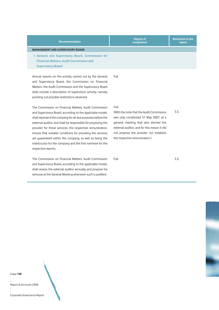| <b>Recommendation</b>                                                                                                              | compliance | report |
|------------------------------------------------------------------------------------------------------------------------------------|------------|--------|
| <b>MANAGEMENT AND SUPERVISORY BOARD</b>                                                                                            |            |        |
| <b>General and Supervisory Board, Commission for</b><br><b>Financial Matters, Audit Commission and</b><br><b>Supervisory Board</b> |            |        |
| Annual reports on the activity carried out by the General                                                                          | Full       |        |

Annual reports on the activity carried out by the General and Supervisory Board, the Commission on Financial Matters, the Audit Commission and the Supervisory Board shall include a description of supervision activity, namely pointing out possible restrictions observed.

The Commission on Financial Matters, Audit Commission and Supervisory Board, according to the applicable model, shall represent the company for all due purposes before the external auditor, and shall be responsible for proposing the provider for these services, the respective remuneration, ensure that suitable conditions for providing the services are guaranteed within the company, as well as being the interlocutor for the company and the first nominee for the respective reports.

The Commission on Financial Matters, Audit Commission and Supervisory Board, according to the applicable model, shall assess the external auditor annually and propose his removal at the General Meeting whenever such is justified.

Full

(With the note that the Audit Commission was only constituted 31 May 2007, at a general meeting that also elected the external auditor, and for this reason it did not propose the provider nor establish the respective remuneration.)

**Degree of** 

Full

3.3.

3.3.

**Remission in the** 

#### Inapa **148**

-

-

- Report & Accounts 2008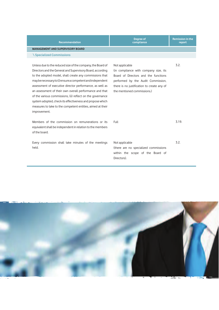| <b>Recommendation</b>                                                                                                                                                                                                                                                                                                                                                                                                                                                                                                                                                            | <b>Degree of</b><br>compliance                                                                                                                                                                                     | <b>Remission in the</b><br>report |
|----------------------------------------------------------------------------------------------------------------------------------------------------------------------------------------------------------------------------------------------------------------------------------------------------------------------------------------------------------------------------------------------------------------------------------------------------------------------------------------------------------------------------------------------------------------------------------|--------------------------------------------------------------------------------------------------------------------------------------------------------------------------------------------------------------------|-----------------------------------|
| <b>MANAGEMENT AND SUPERVISORY BOARD</b>                                                                                                                                                                                                                                                                                                                                                                                                                                                                                                                                          |                                                                                                                                                                                                                    |                                   |
| <b>Specialized Commissions</b>                                                                                                                                                                                                                                                                                                                                                                                                                                                                                                                                                   |                                                                                                                                                                                                                    |                                   |
| Unless due to the reduced size of the company, the Board of<br>Directors and the General and Supervisory Board, according<br>to the adopted model, shall create any commissions that<br>maybenecessary to (i) ensure a competent and independent<br>assessment of executive director performance, as well as<br>an assessment of their own overall performance and that<br>of the various commissions, (ii) reflect on the governance<br>system adopted, check its effectiveness and propose which<br>measures to take to the competent entities, aimed at their<br>improvement. | Not applicable<br>(in compliance with company size, its<br>Board of Directors and the functions<br>performed by the Audit Commission,<br>there is no justification to create any of<br>the mentioned commissions.) | 3.2.                              |
| Members of the commission on remunerations or its<br>equivalent shall be independent in relation to the members<br>of the board.                                                                                                                                                                                                                                                                                                                                                                                                                                                 | Full                                                                                                                                                                                                               | 3.19.                             |
| Every commission shall take minutes of the meetings<br>held.                                                                                                                                                                                                                                                                                                                                                                                                                                                                                                                     | Not applicable<br>(there are no specialized commissions<br>within the scope of the Board of<br>Directors).                                                                                                         | 3.2.                              |

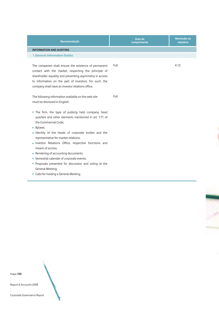| Recomendação                                                                                                                                                                                                                                                                           | <b>Grau de</b><br>cumprimento | Remissão no<br>relatório |
|----------------------------------------------------------------------------------------------------------------------------------------------------------------------------------------------------------------------------------------------------------------------------------------|-------------------------------|--------------------------|
| <b>INFORMATION AND AUDITING</b>                                                                                                                                                                                                                                                        |                               |                          |
| <b>\General Information Duties</b>                                                                                                                                                                                                                                                     |                               |                          |
| The companies shall ensure the existence of permanent<br>contact with the market, respecting the principle of<br>shareholder equality and preventing asymmetry in access<br>to information on the part of investors. For such, the<br>company shall have an investor relations office. | Full                          | 4.12.                    |
| The following information available on the web site<br>must be disclosed in English:                                                                                                                                                                                                   | Full                          |                          |
| . The firm, the type of publicly held company, head<br>quarters and other elements mentioned in art. 171 of<br>the Commercial Code;<br>• Bylaws;                                                                                                                                       |                               |                          |
| • Identity of the heads of corporate bodies and the<br>representative for market relations;                                                                                                                                                                                            |                               |                          |
| • Investor Relations Office, respective functions and<br>means of access:                                                                                                                                                                                                              |                               |                          |
| • Rendering of accounting documents;                                                                                                                                                                                                                                                   |                               |                          |
| • Semestral calendar of corporate events;                                                                                                                                                                                                                                              |                               |                          |
| Proposals presented for discussion and voting at the<br>$\bullet$<br>General Meeting:                                                                                                                                                                                                  |                               |                          |

Calls for holding a General Meeting.

ī í

## Inapa **150**

-

- Report & Accounts 2008

- -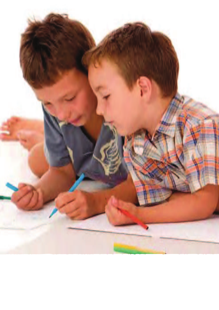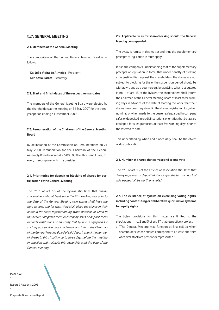## 0.2**\ GENERAL MEETING**

## **2.1. Members of the General Meeting**

The composition of the current General Meeting Board is as follows:

**Dr. João Vieira de Almeida** - President **Dr.ª Sofia Barata** - Secretary

#### **2.2. Start and finish dates of the respective mandates**

The members of the General Meeting Board were elected by the shareholders at the meeting on 31 May 2007 for the threeyear period ending 31 December 2009.

## **2.3. Remuneration of the Chairman of the General Meeting Board**

By deliberation of the Commission on Remunerations on 21 May 2008, remuneration for the Chairman of the General Assembly Board was set at € 5,000.00 (five thousand Euros) for every meeting over which he presides.

## **2.4. Prior notice for deposit or blocking of shares for participation at the General Meeting**

The n<sup>o</sup>. 1 of art. 13 of the bylaws stipulates that "those shareholders who at least since the fifth working day prior to the date of the General Meeting own shares shall have the right to vote, and for such, they shall place the shares in their name in the share registration log, when nominal, or when to the bearer, safeguard them in company safes or deposit them in credit institutions or an entity that by law is equipped for such a purpose, five days in advance, and inform the Chairman of the General Meeting Board of said deposit and of the number of shares in this situation up to three days before the meeting in question and maintain this ownership until the date of the General Meeting."

## **2.5. Applicable rules for share-blocking should the General Meeting be suspended.**

The bylaw is remiss in this matter and thus the supplementary precepts of legislation in force apply.

It is in the company's understanding that of the supplementary precepts of legislation in force, that under penalty of creating an unjustified lien against the shareholders, the shares are not subject to blocking for the entire suspension period should be withdrawn, and as a counterpart, by applying what is stipulated in no. 1 of art. 13 of the bylaws, the shareholders shall inform the Chairman of the General Meeting Board at least three working days in advance of the date of starting the work, that their shares have been registered in the shares registration log, when nominal, or when made to the bearer, safeguarded in company safes or deposited in credit institutions or entities that by law are equipped for such purposes, at least five working days prior to the referred to date.

This understanding, when and if necessary, shall be the object of due publication.

#### **2.6. Number of shares that correspond to one vote**

The nº 5 of art. 13 of the articles of association stipulates that "every registered or deposited share as per the terms in no. 1 of this article shall be worth one vote."

## **2.7. The existence of bylaws on exercising voting rights, including constituting or deliberative quorums or systems for equity rights.**

The bylaw provisions for this matter are limited to the stipulations in no. 2 and 3 of art. 17 that respectively project:

. "The General Meeting may function at first call-up when shareholders whose shares correspond to at least one-third of capital stock are present or represented."

Inapa **152**

- -

- -

Report & Accounts 2008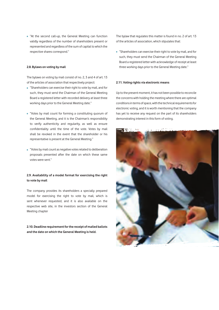"At the second call-up, the General Meeting can function validly regardless of the number of shareholders present or represented and regardless of the sum of capital to which the respective shares correspond."

## **2.8. Bylaws on voting by mail**

The bylaws on voting by mail consist of no. 2, 3 and 4 of art. 13 of the articles of association that respectively project:

- "Shareholders can exercise their right to vote by mail, and for such, they must send the Chairman of the General Meeting Board a registered letter with recorded delivery at least three working days prior to the General Meeting date."
- "Votes by mail count for forming a constituting quorum of the General Meeting, and it is the Chairman's responsibility to verify authenticity and regularity, as well as ensure confidentiality until the time of the vote. Votes by mail shall be revoked in the event that the shareholder or his representative is present at the General Meeting."
- "Votes by mail count as negative votes related to deliberation proposals presented after the date on which these same votes were sent."

## **2.9. Availability of a model format for exercising the right to vote by mail**

The company provides its shareholders a specially prepared model for exercising the right to vote by mail, which is sent whenever requested, and it is also available on the respective web site, in the investors section of the General Meeting chapter

**2.10. Deadline requirement for the receipt of mailed ballots and the date on which the General Meeting is held.**

The bylaw that regulates this matter is found in no. 2 of art. 13 of the articles of association, which stipulates that:

"Shareholders can exercise their right to vote by mail, and for such, they must send the Chairman of the General Meeting Board a registered letter with acknowledge of receipt at least three working days prior to the General Meeting date."

## **2.11. Voting rights via electronic means**

Up to the present moment, it has not been possible to reconcile the concerns with holding the meeting where there are optimal conditions in terms of space, with the technical requirements for electronic voting, and it is worth mentioning that the company has yet to receive any request on the part of its shareholders demonstrating interest in this form of voting.

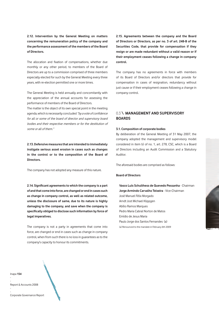**2.12. Intervention by the General Meeting on matters concerning the remuneration policy of the company and the performance assessment of the members of the Board of Directors.**

The allocation and fixation of compensations, whether due monthly or any other period, to members of the Board of Directors are up to a commission comprised of three members especially elected for such by the General Meeting every three years, with re-election permitted one or more times.

The General Meeting is held annually and concomitantly with the appreciation of the annual accounts for assessing the performance of members of the Board of Directors.

The matter is the object of its own special point in the meeting agenda, which is necessarily concluded "by a vote of confidence for all or some of the board of director and supervisory board bodies and their respective members or for the destitution of some or all of them."

**2.13. Defensive measures that are intended to immediately instigate serious asset erosion in cases such as changes in the control or to the composition of the Board of Directors.**

The company has not adopted any measure of this nature.

**2.14. Significant agreements to which the company is a part of and that come into force, are changed or end in cases such as change in company control, as well as related outcome, unless the disclosure of same, due to its nature is highly damaging to the company, and save when the company is specifically obliged to disclose such information by force of legal imperatives.**

The company is not a party in agreements that come into force, are changed or end in cases such as change in company control, when from such there is no loss in guarantees as to the company's capacity to honour its commitments.

**2.15. Agreements between the company and the Board of Directors or Directors, as per no. 3 of art. 248-B of the Securities Code, that provide for compensation if they resign or are made redundant without a valid reason or if their employment ceases following a change in company control.**

The company has no agreements in force with members of its Board of Directors and/or directors that provide for compensation in cases of resignation, redundancy without just cause or if their employment ceases following a change in company control.

## 0.3 **\ MANAGEMENT AND SUPERVISORY BOARDS**

#### **3.1. Composition of corporate bodies**

By deliberation of the General Meeting of 31 May 2007, the company adopted the management and supervisory model considered in item b) of no. 1, art. 278, CSC, which is a Board of Directors including an Audit Commission and a Statutory Auditor.

The aforesaid bodies are comprised as follows:

#### **Board of Directors**

**Vasco Luís Schulthess de Quevedo Pessanha** - Chairman **Jorge Armindo Carvalho Teixeira** - Vice-Chairman José Manuel Félix Morgado Arndt Jost Michael Klippgen Abílio Ramos Marques Pedro Maria Cabral Norton de Matos Emídio de Jesus Maria Paulo Jorge dos Santos Fernandes (a) (a) Renounced to the mandate in February 6th 2009

Inapa **154** Report & Accounts 2008 Corporate Governance Report

- -

- -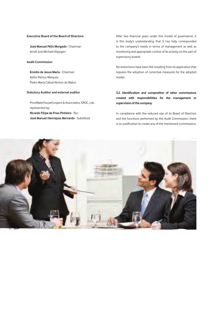## **Executive Board of the Board of Directors**

**José Manuel Félix Morgado -** Chairman Arndt Jost Michael Klippgen

## **Audit Commission**

**Emídio de Jesus Maria** - Chairman Abílio Ramos Marques Pedro Maria Cabral Norton de Matos

## **Statutory Auditor and external auditor**

PriceWaterhouseCoopers & Associados, SROC, Lda represented by: **Ricardo Filipe de Frias Pinheiro** - Roc **José Manuel Henriques Bernardo** - Substitute

After two financial years under this model of governance, it is this body's understanding that it has fully corresponded to the company's needs in terms of management as well as monitoring and appropriate control of its activity on the part of supervisory boards.

No restrictions have been felt resulting from its application that requires the adoption of corrective measures for the adopted model.

**3.2. Identification and composition of other commissions created with responsibilities for the management or supervision of the company**

In compliance with the reduced size of its Board of Directors and the functions performed by the Audit Commission, there is no justification to create any of the mentioned commissions.

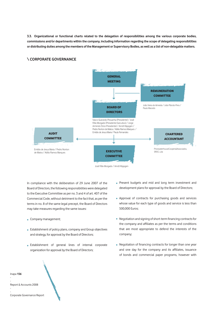**3.3. Organizational or functional charts related to the delegation of responsibilities among the various corporate bodies, commissions and/or departments within the company, including information regarding the scope of delegating responsibilities or distributing duties among the members of the Management or Supervisory Bodies, as well as a list of non-delegable matters.**

![](_page_17_Figure_1.jpeg)

## **\ CORPORATE GOVERNANCE**

In compliance with the deliberation of 29 June 2007 of the Board of Directors, the following responsibilities were delegated to the Executive Committee as per no. 3 and 4 of art. 407 of the Commercial Code, without detriment to the fact that, as per the terms in no. 8 of the same legal precept, the Board of Directors may take measures regarding the same issues:

- Company management;
- Establishment of policy plans, company and Group objectives and strategy, for approval by the Board of Directors;
- Establishment of general lines of internal corporate organization for approval by the Board of Directors;
- Present budgets and mid and long term investment and development plans for approval by the Board of Directors;
- Approval of contracts for purchasing goods and services whose value for each type of goods and service is less than 500,000 Euros;
- Negotiation and signing of short-term financing contracts for the company and affiliates as per the terms and conditions that are most appropriate to defend the interests of the company;
- Negotiation of financing contracts for longer than one year and one day for the company and its affiliates, issuance of bonds and commercial paper programs, however with

![](_page_17_Picture_11.jpeg)

-

-

Report & Accounts 2008 -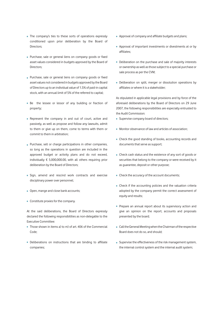- The company's ties to these sorts of operations expressly conditioned upon prior deliberation by the Board of Directors;
- Purchase, sale or general liens on company goods or fixed asset values considered in budgets approved by the Board of Directors;
- Purchase, sale or general liens on company goods or fixed asset values not considered in budgets approved by the Board of Directors up to an individual value of 1.5% of paid-in capital stock, with an annual limit of 5% of the referred to capital;
- Be the lessee or lessor of any building or fraction of property;
- Represent the company in and out of court, active and passively, as well as propose and follow any lawsuits, admit to them or give up on them, come to terms with them or commit to them in arbitration;
- Purchase, sell or charge participations in other companies, so long as the operations in question are included in the approved budget or activity plans and do not exceed, individually € 5,000,000.00, with all others requiring prior deliberation by the Board of Directors;
- Sign, amend and rescind work contracts and exercise disciplinary power over personnel;
- Open, mange and close bank accounts;
- Constitute proxies for the company.

At the said deliberations, the Board of Directors expressly declared the following responsibilities as non-delegable to the Executive Committee:

- Those shown in items a) to m) of art. 406 of the Commercial Code;
- Deliberations on instructions that are binding to affiliate companies;
- Approval of company and affiliate budgets and plans;
- Approval of important investments or divestments at or by affiliates;
- Deliberation on the purchase and sale of majority interests or ownership as well as those subject to a special purchase or sale process as per the CVM;
- Deliberation on split, merger or dissolution operations by affiliates or where it is a stakeholder;

As stipulated in applicable legal provisions and by force of the aforesaid deliberations by the Board of Directors on 29 June 2007, the following responsibilities are especially entrusted to the Audit Commission:

- Supervise company board of directors;
- Monitor observance of law and articles of association;
- Check the good standing of books, accounting records and documents that serve as support;
- Check cash status and the existence of any sort of goods or securities that belong to the company or were received by it as guarantee, deposit or other purpose;
- Check the accuracy of the account documents;
- Check if the accounting policies and the valuation criteria adopted by the company permit the correct assessment of equity and results;
- Prepare an annual report about its supervisory action and give an opinion on the report, accounts and proposals presented by the board;
- Call the General Meeting when the Chairman of the respective Board does not do so, and should;
- Supervise the effectiveness of the risk management system, the internal control system and the internal audit system;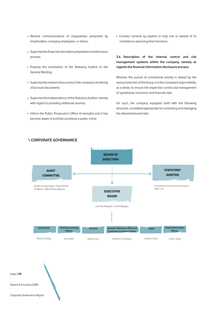- Receive communications of irregularities presented by shareholders, company employees or others;
- Supervise the financial information preparation and disclosure process;
- Propose the nomination of the Statutory Auditor to the General Meeting;
- Supervise the revision of accounts to the company's rendering of account documents;
- Supervise the independence of the Statutory Auditor, namely with regard to providing additional services;
- Inform the Public Prosecutor's Office of wrongful acts it has become aware of and that constitute a public crime;

Contract services by experts to help one or several of its members in exercising their functions.

**3.4. Description of the internal control and risk management systems within the company, namely as regards the financial information disclosure process.**

Whereas the pursuit of commercial activity is shared by the various branches of the Group, it is this company's responsibility, as a whole, to ensure the respective control and management of operational, economic and financial risks.

For such, the company equipped itself with the following structure, considered appropriate for controlling and managing the aforementioned risks:

![](_page_19_Figure_10.jpeg)

## **\ CORPORATE GOVERNANCE**

![](_page_19_Figure_12.jpeg)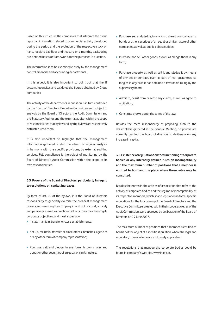Based on this structure, the companies that integrate the group report all information related to commercial activity developed during the period and the evolution of the respective stock on hand, receipts, liabilities and treasury, on a monthly basis, using pre-defined bases or frameworks for the purposes in question.

The information is to be examined closely by the management control, financial and accounting departments.

In this aspect, it is also important to point out that the IT system, reconciles and validates the figures obtained by Group companies.

The activity of the departments in question is in turn controlled by the Board of Director's Executive Committee and subject to analysis by the Board of Directors, the Audit Commission and the Statutory Auditor and the external auditor within the scope of responsibilities that by law and by the bylaws are respectively entrusted unto them.

It is also important to highlight that the management information gathered is also the object of regular analysis, in harmony with the specific provisions, by external auditing services. Full compliance is the object of monitoring by the Board of Director's Audit Commission within the scope of its own responsibilities.

## **3.5. Powers of the Board of Directors, particularly in regard to resolutions on capital increases.**

By force of art. 20 of the bylaws, it is the Board of Directors responsibility to generally exercise the broadest management powers, representing the company in and out of court, actively and passively, as well as practicing all acts towards achieving its corporate objectives, and most especially:

- Install, maintain, transfer or close establishments;
- Set up, maintain, transfer or close offices, branches, agencies or any other form of company representation;
- Purchase, sell and pledge, in any form, its own shares and bonds or other securities of an equal or similar nature;
- Purchase, sell and pledge, in any form, shares, company parts, bonds or other securities of an equal or similar nature of other companies, as well as public debt securities;
- Purchase and sell other goods, as well as pledge them in any form;
- Purchase property, as well as sell it and pledge it by means of any act or contract, even as part of real guarantees, so long as in any case it has obtained a favourable ruling by the supervisory board;
- Admit to, desist from or settle any claims, as well as agree to arbitration;
- Constitute proxy's as per the terms of the law;

Besides the mere responsibility of proposing such to the shareholders gathered at the General Meeting, no powers are currently granted the board of directors to deliberate on any increase in capital.

**3.6. Existence of regulations on the functioning of corporate bodies or any internally defined rules on incompatibility and the maximum number of positions that a member is entitled to hold and the place where these rules may be consulted.**

Besides the norms in the articles of association that refer to the activity of corporate bodies and the regime of incompatibility of its respective members, which shape legislation in force, specific regulations for the functioning of the Board of Directors and the Executive Committee, created within their scope, as well as of the Audit Commission, were approved by deliberation of the Board of Directors on 29 June 2007.

The maximum number of positions that a member is entitled to hold is not the object of a specific stipulation, where the legal and regulatory norms in force are exclusively applicable.

The regulations that manage the corporate bodies could be found in company´s web site, www.inapa.pt.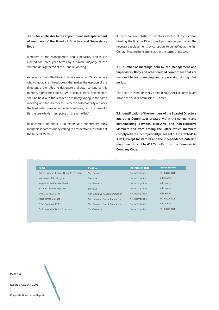## **3.7. Rules applicable to the appointment and replacement of members of the Board of Directors and Supervisory Body**

Members of the management and supervisory bodies are elected for three year terms by a simple majority of the shareholders gathered at the General Meeting.

As per no. 2 of art. 18 of the Articles of association "Shareholders who voted against the proposal that makes the election of the directors, are entitled to designate a director so long as this minority represents at least 10% of capital stock. The election shall be held with the referred to minority voting in the same meeting, and the director thus elected automatically replaces the least voted person on the list of winners, or in the case of a tie, the one who is in last place on the same list."

Replacement of board of directors and supervisory body members is carried out by calling the respective substitutes at the General Meeting.

If there are no substitute directors elected at the General Meeting, the Board of Directors will promote, as per the law, the necessary replacements by co-option, to be ratified at the first General Meeting held after such, in the terms of the law.

**3.8. Number of meetings held by the Management and Supervisory Body and other created committees that are responsible for managing and supervising during that period.**

The Board of Directors met 9 times in 2008, the Executive Board 10 and the Audit Commission 10 times.

**3.9. Identification of the members of the Board of Directors and other Committees created within the company and distinguishing between executive and non-executive Members and from among the latter, which members comply with the incompatibility rules set out in article 414- A nº1, except for item b) and the independence criterion mentioned in article 414/5, both from the Commercial Company Code.**

| <b>Name</b>                               | <b>Position</b>                  | <b>Incompatibilities</b> | Independence    |
|-------------------------------------------|----------------------------------|--------------------------|-----------------|
| Vasco Luís Schulthess de Quevedo Pessanha | Non-Executive                    | Not incompatible         | Not independent |
| José Manuel Félix Morgado                 | <b>Executive</b>                 | Not incompatible         | Independent     |
| Jorge Armindo Carvalho Teixeira           | Non-Executive                    | Not incompatible         | Independent     |
| Arndt Jost Michael Klippgen               | <b>Executive</b>                 | Not incompatible         | Independent     |
| Emídio de Jesus Maria                     | Non-Executive / Audit Commission | Not incompatible         | Independent     |
| Abílio Ramos Marques                      | Non-Executive / Audit Commission | Not incompatible         | Not independent |
| Pedro Norton de Matos                     | Non-Executive / Audit Commission | Not incompatible         | Independent     |
| Paulo Jorge dos Santos Fernandes          | Non-Executive                    | Not incompatible         | Not independent |

Inapa **160**

-

- -

- Report & Accounts 2008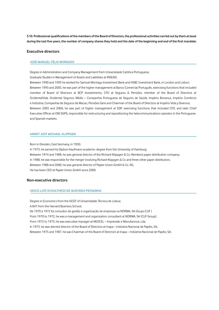**3.10. Professional qualifications of the members of the Board of Directors, the professional activities carried out by them at least during the last five years, the number of company shares they hold and the date of the beginning and end of the first mandate;**

## **Executive directors**

#### **JOSÉ MANUEL FÉLIX MORGADO**

Degree in Administration and Company Management from Universidade Católica Portuguesa; Graduate Studies in Management of Assets and Liabilities at INSEAD;

Between 1990 and 1993 he worked for Samuel Montagu Investment Bank and HSBC Investment Bank, in London and Lisbon; Between 1993 and 2005, he was part of the higher management at Banco Comercial Português, exercising functions that included member of Board of Directors at BCP Investimento, CFO at Seguros & Pensões, member of the Board of Directors at OcidentalVida, Ocidental Seguros, Médis – Companhia Portuguesa de Seguros de Saúde, Império Bonança, Império Comércio e Indústria, Companhia de Seguros de Macau, Pensões Gere and Chairman of the Board of Directors at Império Vida y Diversos; Between 2005 and 2006, he was part of higher management at EDP, exercising functions that included CFO, and later Chief Executive Officer at ONI SGPS, responsible for restructuring and repositioning the telecommunications operator in the Portuguese and Spanish markets.

#### **ARNDT JOST MICHAEL KLIPPGEN**

Born in Dresden, East Germany, in 1950;

In 1973, he earned his Diplom-Kaufmann academic degree from the University of Hamburg; Between 1974 and 1988, he was general director of the Richard Klippgen & Co, Reinbeck paper distribution company; In 1988, he was responsible for the merger involving Richard Klippgen & Co and three other paper distributors; Between 1988 and 2000, he was general director of Papier Union GmbH & Co. KG; He has been CEO at Papier Union GmbH since 2000.

## **Non-executive directors**

#### **VASCO LUÍS SCHULTHESS DE QUEVEDO PESSANHA**

Degree in Economics from the ISCEF of Universidade Técnica de Lisboa; A.M.P. from the Harvard Business School; De 1970 a 1972 foi consultor de gestão e organização de empresas na NORMA, SA (Grupo CUF ) From 1970 to 1972, he was a management and organization consultant at NORMA, SA (CUF Group); From 1972 to 1973, he was executive manager at NEOCEL – Impressão e Manufactura, Lda; In 1973, he was elected director of the Board of Directors at Inapa – Indústria Nacional de Papéis, SA; Between 1975 and 1987, he was Chairman of the Board of Directors at Inapa – Indústria Nacional de Papéis, SA;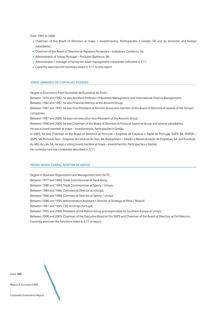From 1987 to 2006:

- Chairman of the Board of Directors at Inapa Investimentos, Participações e Gestão, SA and its domestic and foreign subsidiaries;
- Chairman of the Board of Directors at Papelaria Fernandes Indústria e Comércio, SA;
- Administrator of Solvay Portugal Produtos Quimicos, SA;
- Administrator / manager of family-run asset management companies indicated in 3.11
- Currently exercises the functions listed in 3.11 to this report

## **JORGE ARMINDO DE CARVALHO TEIXEIRA**

Degree in Economics from Faculdade de Economia do Porto;

Between 1976 and 1992, he was Assistant Professor of Business Management and International Finance Management;

Between 1982 and 1987, he was Financial Director at the Amorim Group;

Between 1987 and 1997, he was Vice-President at Amorim Group and member of the Board of Directors at several of the Group's companies;

Between 1997 and 2000, he was non-executive Vice-President of the Amorim Group;

Between 1998 and 2004, he was Chairman of the Board of Directors at Portucel Soporcel Group and several subsidiaries.

He was a board member at Inapa – Investimentos, Participações e Gestão;

In 2005, he was Chairman of the Board of Directors at Portucel – Empresa de Celulose e Papel de Portugal, SGPS, SA, EDIFER – SGPS; SA, Portucel Tejo – Empresa de Celulose do Tejo, SA, Iberpartners – Gestão e Reestruturação de Empresas, SA, and Fundição do Alto da Lixa, SA. He was a voting board member at Inapa – Investimentos, Participações e Gestão; He currently runs the companies described in 3.11.

## **PEDRO MARIA CABRAL NORTON DE MATOS**

Degree in Business Organization and Management from ISCTE; Between 1977 and 1980, Trade Commissioner at Rank Xerox; Between 1980 and 1984, Trade Commissioner at Sperry / Unisys; Between 1984 and 1986, Commercial Director at Inforgal; Between 1986 and 1988, Commercial Director at Sperry / Unisys; Between 1988 and 1990, Administration Assistant / Director of Strategy at Rima / Nixdorf; Between 1991 and 1995, CEO at Unisys Portugal; Between 1995 and 2000, President of the Ibérico Group and responsible for Southern Europe at Unisys; Between 2000 and 2005, Chairman of the Executive Board at Oni SGPS and Chairman of the Board of Directors at OniTelecom; Currently exercises the functions listed in 3.11 of report.

| Inapa 162 |  |
|-----------|--|
|-----------|--|

-

- -

- Report & Accounts 2008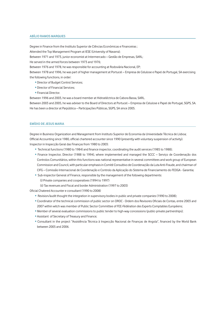#### **ABÍLIO RAMOS MARQUES**

Degree in Finance from the Instituto Superior de Ciências Económicas e Financeiras ;

Attended the Top Management Program at IESE (University of Navarra);

Between 1971 and 1973, junior economist at Intermercado – Gestão de Empresas, SARL;

He served in the armed forces between 1973 and 1976;

Between 1976 and 1978, he was responsible for accounting at Rodoviária Nacional, EP;

Between 1978 and 1996, he was part of higher management at Portucel – Empresa de Celulose e Papel de Portugal, SA exercising the following functions, in order:

- Director of Budget Control Services;
- Director of Financial Services;
- Financial Director.

Between 1996 and 2003, he was a board member at Hidroeléctrica de Cabora Bassa, SARL.

Between 2003 and 2005, he was adviser to the Board of Directors at Portucel – Empresa de Celulose e Papel de Portugal, SGPS, SA. He has been a director at Parpública – Participações Públicas, SGPS, SA since 2005.

## **EMÍDIO DE JESUS MARIA**

Degree in Business Organization and Management from Instituto Superior de Economia da Universidade Técnica de Lisboa; Official Accounting since 1980, official chartered accounter since 1990 (presently with voluntary suspension of activity). Inspector in Inspecção Geral das Finanças from 1980 to 2003:

- Technical functions (1980 to 1984) and finance inspector, coordinating the audit services (1985 to 1988);
- Finance Inspector, Director (1988 to 1994), where implemented and managed the SCCC Serviço de Coordenação dos Controlos Comunitários, within this functions was national representative in several committees and work group of European Commission and Council, with particular emphasis in Comité Consultivo de Coordenaçlão da Luta Anti-Fraude, and chairman of CIFG – Comissão Internacional de Coordenação e Controlo da Aplicação do Sistema de Financiamento do FEOGA - Garantia;
- Sub-inspector General of Finance, responsible by the management of the following departments:

(i) Private companies and cooperatives (1994 to 1997)

(ii) Tax revenues and Fiscal and border Administration (1997 to 2003)

Oficial Chatered Accounter e consultant (1990 to 2008)

- •Revision/audit thought the integration in supervisory bodies in public and private companies (1990 to 2008);
- Coordinator of the technical commission of public sector on OROC Ordem dos Revisores Oficiais de Contas, entre 2003 and 2007 within witch was member of Public Sector Committee of FEE-Fédération des Experts Comptables Européens;
- Member of several evaluation commissions to public tender to high-way concessions (public-private partnerships);
- Assistant of Secretary of Treasury and Finance;
- Consultant in the project "Assistência Técnica à Inspecção Nacional de Finanças de Angola", financed by the World Bank between 2005 and 2006.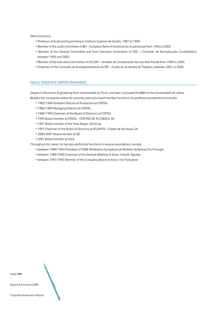Other functions:

- Professor of Audit and Supervising in Instituto Superior de Gestão, 1987 to 1989;
- Member of the audit committee of BEI European Bank of Investments (Luxemburg) from 1996 to 2003;
- Member of the General Committee and from Executive Committee of CNC Comissão de Normalização Contabilística between 1995 and 2003;
- Member of the Executive Committee of UCLEFA Unidade de Coordenação da Luta Anti-Fraude from 1998 to 2003;
- Chairman of the Comissão de Acompanhamento do FAT Fundo de Acidentes de Trabalho, between 2001 to 2006.

#### **PAULO JORGE DOS SANTOS FERNANDES**

Degree in Electronic Engineering from Universidade do Porto, and later concluded his MBA at the Universidade de Lisboa. Besides the companies where he currently exercises board member functions, his professional experience includes:

- 1982/1984 Assistant Director of Production at CORTAL
- 1986/1989 Managing Director at CORTAL
- 1989/1994 Chairman of the Board of Directors at CORTAL
- 1995 Board member at CRISAL CRISTAIS DE ALCOBAÇA, SA
- 1997 Board member of the Vista Alegre, SA Group
- 1997 Chairman of the Board of Directors at ATLANTIS Cristais de Alcobaça, SA
- 2000/2001 Board member at SIC
- 2001 Board member at V.A.A.

Throughout his career, he has also performed functions in several associations, namely:

- between 1989/1994 President of FEMB (Fédération Européene de Mobilier de Bureau) for Portugal
- between 1989/1990 Chairman of the General Meeting of Assoc. Industr. Águeda
- between 1991/1993 Member of the Consulting Board at Assoc. Ind. Portuense

#### Inapa **164**

-

-

- Report & Accounts 2008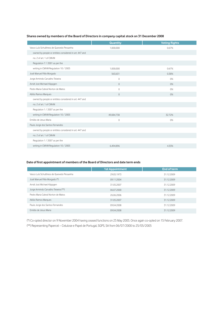## **Shares owned by members of the Board of Directors in company capital stock on 31 December 2008**

|                                                        | <b>Quantity</b> | <b>Voting Rights</b> |
|--------------------------------------------------------|-----------------|----------------------|
| Vasco Luís Schulthess de Quevedo Pessanha              | 1,000,000       | 0.67%                |
| owned by people or entities considered in art. 447 and |                 |                      |
| no. 2 of art. 1 of CMVM                                |                 |                      |
| Regulation 7 / 2001 as per the                         |                 |                      |
| writing in CMVM Regulation 10 / 2005                   | 1,000,000       | 0.67%                |
| José Manuel Félix Morgado                              | 563,631         | 0.38%                |
| Jorge Armindo Carvalho Teixeira                        | $\mathbf{0}$    | 0%                   |
| Arndt Jost Michael Klippgen                            | $\mathbf{0}$    | $0\%$                |
| Pedro Maria Cabral Norton de Matos                     | $\mathbf{0}$    | 0%                   |
| Abílio Ramos Marques                                   | $\mathbf{0}$    | 0%                   |
| owned by people or entities considered in art. 447 and |                 |                      |
| no. 2 of art. 1 of CMVM                                |                 |                      |
| Regulation 1 / 2007 as per the                         |                 |                      |
| writing in CMVM Regulation 10 / 2005                   | 49,084,738      | 32.72%               |
| Emídio de Jesus Maria                                  | $\mathbf 0$     | 0%                   |
| Paulo Jorge dos Santos Fernandes                       |                 |                      |
| owned by people or entities considered in art. 447 and |                 |                      |
| no. 2 of art. 1 of CMVM                                |                 |                      |
| Regulation 1 / 2007 as per the                         |                 |                      |
| writing in CMVM Regulation 10 / 2005                   | 6.494.896       | 4.33%                |

## **Date of first appointment of members of the Board of Directors and date term ends**

|                                           | <b>1st Appointment</b> | End of term |
|-------------------------------------------|------------------------|-------------|
| Vasco Luís Schulthess de Quevedo Pessanha | 29.05.1973             | 31.12.2009  |
| José Manuel Félix Morgado (*)             | 09.11.2004             | 31.12.2009  |
| Arndt Jost Michael Klippgen               | 31.05.2007             | 31.12.2009  |
| Jorge Armindo Carvalho Teixeira (**)      | 06.07.2000             | 31.12.2009  |
| Pedro Maria Cabral Norton de Matos        | 26.06.2006             | 31.12.2009  |
| Abílio Ramos Marques                      | 31.05.2007             | 31.12.2009  |
| Paulo Jorge dos Santos Fernandes          | 09.04.2008             | 31.12.2009  |
| Emídio de Jesus Maria                     | 09.04.2008             | 31.12.2009  |

(\*) Co-opted director on 9 November 2004 having ceased functions on 25 May 2005. Once again co-opted on 15 February 2007.

(\*\*) Representing Papercel – Celulose e Papel de Portugal, SGPS, SA from 06/07/2000 to 25/05/2005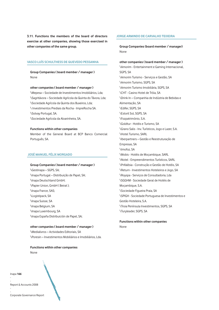**3.11. Functions the members of the board of directors exercise at other companies, showing those exercised in other companies of the same group.**

## **VASCO LUÍS SCHULTHESS DE QUEVEDO PESSANHA**

**Group Companies ( board member / manager )** None

## **other companies ( board member / manager )**

\Mepesa – Sociedade de Investimentos Imobiliários, Lda; \Sagritávora – Sociedade Agrícola da Quinta do Távora, Lda; \Sociedade Agrícola da Quinta dos Buxeiros, Lda; \ Investimentos Prediais da Rocha - ImpreRocha SA. \Solvay Portugal, SA. \Sociedade Agrícola da Alvarinheira, SA.

#### **Functions within other companies**

Member of the General Board at BCP Banco Comercial Português, SA.

## **JOSÉ MANUEL FÉLIX MORGADO**

## **Group Companies ( board member / manager )**

\Gestinapa – SGPS, SA; \Inapa Portugal – Distribuição de Papel, SA; \Inapa Deutschland GmbH; \Papier Union, GmbH ( Beirat ); \Inapa France, SAS; \Logistipack, SA \Inapa Suisse, SA \Inapa Belgium, SA \Inapa Luxembourg, SA \Inapa España Distribuición de Papel, SA;

## **other companies ( board member / manager )**

\Medialivros – Actividades Editoriais, SA \Poresin – Investimentos Mobiliários e Imobiliários, Lda.

## **Functions within other companies**

None

## **JORGE ARMINDO DE CARVALHO TEIXEIRA**

**Group Companies (board member / manager)** None

## **other companies ( board member / manager )**

\Amorim - Entertainment e Gaming Internacional, SGPS, SA \Amorim Turismo - Serviços e Gestão, SA \Amorim Turismo, SGPS, SA \Amorim Turismo Imobiliária, SGPS, SA \CHT - Casino Hotel de Tróia, SA \Drink In – Companhia de Indústria de Bebidas e Alimentação, SA \Edifer, SGPS, SA \Estoril Sol, SGPS, SA \Fozpatrimónio, S.A. \Goldtur - Hotéis e Turismo, SA \Grano Salis - Inv. Turísticos, Jogo e Lazer, S.A. \Hotel Turismo, SARL \Iberpartners – Gestão e Reestruturação de Empresas, SA \Imofoz, SA \Mobis - Hotéis de Moçambique, SARL \Notel - Empreendimentos Turísticos, SARL \Prifalésia - Construção e Gestão de Hotéis, SA \Return - Investimentos Hoteleiros e Jogo, SA \Royspa - Serviços de Consultadoria, Lda \SGGHM - Sociedade Geral de Hotéis de Moçambique, S.A. \Sociedade Figueira Praia, SA \SPIGH - Sociedade Portuguesa de Investimentos e Gestão Hoteleira, S.A. \Troia Península Investimentos, SGPS, SA \Turyleader, SGPS, SA

**Functions within other companies** None

Inapa **166**

-

- -

- Report & Accounts 2008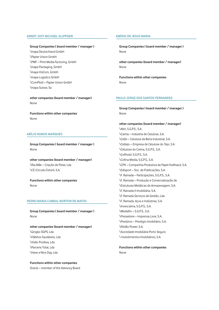#### **ARNDT JOST MICHAEL KLIPPGEN**

#### **Group Companies ( board member / manager )**

\Inapa Deutschland GmbH \Papier Union GmbH \PMF – Print Media Factoring, GmbH \Inapa Packaging, GmbH \Inapa VisCom, GmbH \Inapa Logistics GmbH \ComPlott – Papier Union GmbH \Inapa Suisse, Sa

**other companies (board member / manager)** None

**Functions within other companies** None

## **ABÍLIO RAMOS MARQUES**

**Group Companies ( board member / manager )** None

**other companies (board member / manager)** \Ria-Mãe – Criação de Peixe, Lda \CE-Circuito Estoril, S.A.

**Functions within other companies** None

## **PEDRO MARIA CABRAL NORTON DE MATOS**

**Group Companies ( board member / manager )** None

**other companies (board member / manager)** \Gingko SGPS, Lda \Hábitos Saudáveis, Lda \Visão Positiva, Lda \Parceria Total, Lda \Have a Nice Day, Lda

**Functions within other companies** Oracle – member of the Advisory Board

#### **EMÍDIO DE JESUS MARIA**

**Group Companies ( board member / manager )** None

**other companies (board member / manager)** None

**Functions within other companies** None

#### **PAULO JORGE DOS SANTOS FERNANDES**

**Group Companies ( board member / manager )** None

**other companies (board member / manager)** \Altri, S.G.P.S., S.A. \Caima – Indústria de Celulose, S.A. \Celbi – Celulose da Beira Industrial, S.A. \Celtejo – Empresa de Celulose do Tejo, S.A. \Celulose do Caima, S.G.P.S., S.A. \Cofihold, S.G.P.S., S.A. \Cofina Media, S.G.P.S., S.A. \CPK – Companhia Produtora de Papel Kraftsack, S.A. \Edisport – Soc. de Publicações, S.A. \F. Ramada – Participações, S.G.P.S., S.A. \F. Ramada – Produção e Comercialização de \Estruturas Metálicas de Armazenagem, S.A. \F. Ramada II Imobiliária, S.A. \F. Ramada Serviços de Gestão, Lda. \F. Ramada, Aços e Indústrias, S.A. \Invescaima, S.G.P.S., S.A. \Mediafin – S.G.P.S., S.A. \Presselivre – Imprensa Livre, S.A. \Prestimo – Prestígio Imobiliário, S.A. \Ródão Power, S.A. \Sociedade Imobiliária Porto Seguro \ Investimentos Imobiliários, S.A.

**Functions within other companies** None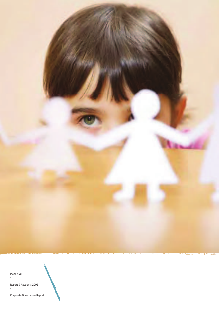![](_page_29_Picture_0.jpeg)

Inapa **168**

-

- Report & Accounts 2008

- -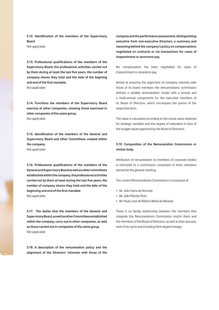**3.12. Identification of the members of the Supervisory Board** 

Not applicable

**3.13. Professional qualifications of the members of the Supervisory Board, the professional activities carried out by them during at least the last five years, the number of company shares they hold and the date of the begining and end of the first mandate.**

Not applicable

**3.14. Functions the members of the Supervisory Board exercise at other companies, showing those exercised in other companies of the same group.**

Not applicable

**3.15. Identification of the members of the General and Supervisory Board and other Committees created within the company.**

Not applicable

**3.16. Professional qualifications of the members of the General and Supervisory Board as well as other committees established within the company, the professional activities carried out by them at least during the last five years, the number of company shares they hold and the date of the beginning and end of the first mandate.** Not applicable

**3.17. The duties that the members of the General and Supervisory Board, as well as other Committees established within the company, carry out in other companies, as well as those carried out in companies of the same group.** Not applicable

**3.18. A description of the remuneration policy and the alignment of the Directors' interests with those of the**  **company and the performance assessment, distinguishing executive from non-executive Directors, a summary and reasoning behind the company's policy on compensations negotiated on contracts or via transactions for cases of impeachment or severance pay.**

No compensation has been negotiated for cases of impeachment or severance pay.

Aimed at ensuring the alignment of company interests with those of its board members the remunerations commission defined a variable remuneration model with a annual and a multi-annual components for the executive members of its Board of Directors, which encompass the period of the respective term.

The value is calculated according to the actual value obtained for strategic variables and the degree of realization in face of the budget values approved by the Board of Directors.

## **3.19. Composition of the Remuneration Commission or similar body.**

Attribution of remuneration to members of corporate bodies is entrusted to a commission comprised of three members elected at the general meeting.

The current Remunerations Commission is comprised of:

- Mr. João Vieira de Almeida
- Mr. João Plácido Pires
- Mr. Paulo José de Ribeiro Moita de Macedo

There is no family relationship between the members that integrate the Remunerations Commission and/or them and the members of the Board of Directors, as well as their spouses, next of kin up to and including third-degree lineage.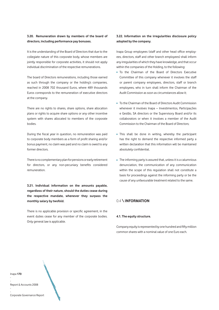## **3.20. Remuneration drawn by members of the board of directors, including performance pay bonuses.**

It is the understanding of the Board of Directors that due to the collegiate nature of this corporate body, whose members are jointly responsible for corporate activities, it should not apply individual discrimination of the respective remunerations.

The board of Directors remunerations, including those earned as such through the company or the holding's companies, reached in 2008 702 thousand Euros, where 489 thousands Euros corresponds to the remuneration of executive directors at the company.

There are no rights to shares, share options, share allocation plans or rights to acquire share options or any other incentive system with shares allocated to members of the corporate bodies.

During the fiscal year in question, no remuneration was paid to corporate body members as a form of profit sharing and/or bonus payment, no claim was paid and no claim is owed to any former directors.

There is no complementary plan for pensions or early retirement for directors, or any non-pecuniary benefits considered remuneration.

**3.21. Individual information on the amounts payable, regardless of their nature, should the duties cease during the respective mandate, whenever they surpass the monthly salary by twofold.**

There is no applicable provision or specific agreement, in the event duties cease for any member of the corporate bodies. Only general law is applicable.

## **3.22. Information on the irregularities disclosure policy adopted by the company.**

Inapa Group employees (staff and other head office employees, directors, staff and other branch employees) shall inform any irregularities of which they have knowledge, and that occur within the companies of the Holding, to the following:

- To the Chairman of the Board of Directors Executive Committee of this company whenever it involves the staff or parent company employees, directors, staff or branch employees, who in turn shall inform the Chairman of the Audit Commission as soon as circumstances allow it;
- To the Chairman of the Board of Directors Audit Commission whenever it involves Inapa – Investimentos, Participações e Gestão, SA directors or the Supervisory Board and/or its collaborators or when it involves a member of the Audit Commission to the Chairman of the Board of Directors;
- This shall be done in writing, whereby the participant has the right to demand the respective informed party a written declaration that this information will be maintained absolutely confidential.
- The informing party is assured that, unless it is a calumnious denunciation, the communication of any communication within the scope of this regulation shall not constitute a basis for proceedings against the informing party or be the cause of any unfavourable treatment related to the same.

## 0.4 **\ INFORMATION**

#### **4.1. The equity structure.**

Company equity is represented by one hundred and fifty million common shares with a nominal value of one Euro each.

| Inapa <b>170</b> |  |
|------------------|--|
|------------------|--|

-

-

- Report & Accounts 2008 -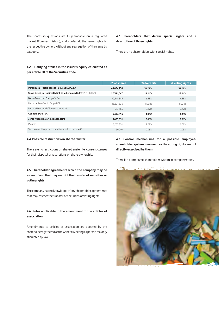The shares in questions are fully tradable on a regulated market (Euronext Lisbon), and confer all the same rights to the respective owners, without any segregation of the same by category.

## **4.3. Shareholders that detain special rights and a description of those rights.**

There are no shareholders with special rights.

## **4.2. Qualifying stakes in the issuer's equity calculated as per article 20 of the Securities Code.**

|                                                                                  | n <sup>o</sup> of shares | % do capital | % voting rights |
|----------------------------------------------------------------------------------|--------------------------|--------------|-----------------|
| Parpública - Participações Públicas SGPS, SA                                     | 49.084.738               | 32.72%       | 32.72%          |
| Stake directly or indirectly link to Millennium BCP (art <sup>a</sup> 20 do CVM) | 27.391.047               | 18.26%       | 18.26%          |
| Banco Comercial Português, SA                                                    | 10.315.846               | 6.88%        | 6.88%           |
| Fundo de Pensões do Grupo BCP                                                    | 16.521.635               | 11.01%       | 11.01%          |
| Banco Millennium BCP Investimento, SA                                            | 553.566                  | 0.37%        | 0.37%           |
| <b>Cofihold SGPS, SA</b>                                                         | 6.494.896                | 4.33%        | 4.33%           |
| Jorge Augusto Martins Fazendeiro                                                 | 3,083,851                | 2.06%        | 2.06%           |
| Próprias                                                                         | 3.033.851                | 2.02%        | 2.02%           |
| Shares owned by person or entity considered in art 447                           | 50,000                   | 0.03%        | 0.03%           |

## **4.4. Possible restrictions on share-transfer.**

There are no restrictions on share-transfer, i.e. consent clauses for their disposal or restrictions on share-ownership.

**4.5. Shareholder agreements which the company may be aware of and that may restrict the transfer of securities or voting rights.**

The company has no knowledge of any shareholder agreements that may restrict the transfer of securities or voting rights.

## **4.6. Rules applicable to the amendment of the articles of association;**

Amendments to articles of association are adopted by the shareholders gathered at the General Meeting as per the majority stipulated by law.

**4.7. Control mechanisms for a possible employeeshareholder system inasmuch as the voting rights are not directly exercised by them.**

There is no employee-shareholder system in company stock.

![](_page_32_Picture_13.jpeg)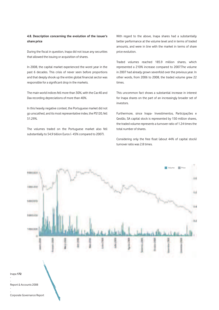## **4.8. Description concerning the evolution of the issuer's share price**

During the fiscal in question, Inapa did not issue any securities that allowed the issuing or acquisition of shares.

In 2008, the capital market experienced the worst year in the past 6 decades. This crisis of never seen before proportions and that deeply shook up the entire global financial sector was responsible for a significant drop in the markets.

The main world indices fell more than 30%, with the Cac40 and Dax recording depreciations of more than 40%.

In this heavily negative context, the Portuguese market did not go unscathed, and its most representative index, the PS120, fell 51.29%.

The volumes traded on the Portuguese market also fell substantially to 54,9 billion Euros (- 45% compared to 2007).

With regard to the above, Inapa shares had a substantially better performance at the volume level and in terms of traded amounts, and were in line with the market in terms of share price evolution.

Traded volumes reached 185.9 million shares, which represented a 210% increase compared to 2007.The volume in 2007 had already grown sevenfold over the previous year. In other words, from 2006 to 2008, the traded volume grew 22 times.

This uncommon fact shows a substantial increase in interest for Inapa shares on the part of an increasingly broader set of investors.

Furthermore, since Inapa- Investimentos, Participações e Gestão, SA capital stock is represented by 150 million shares, the traded volume represents a turnover ratio of 1.24 times the total number of shares.

Considering only the free float (about 44% of capital stock) turnover ratio was 2.8 times.

![](_page_33_Figure_11.jpeg)

#### Inapa **172**

-

- Report & Accounts 2008

- -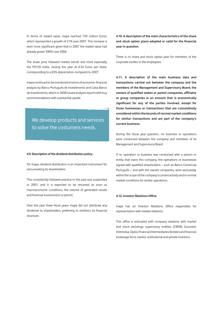In terms of traded value, Inapa reached 139 million Euros, which represented a growth of 21% over 2007. This increase is even more significant given that in 2007 the traded value had already grown 390% over 2006.

The share price followed market trends and most especially the PS120 index, closing the year at 0.34 Euros per share, corresponding to a 63% depreciation compared to 2007.

Inapa continued to be monitored in terms of economic-financial analysis by Banco Português de Investimento and Caixa Banco de Investimento, which in 2008 issued analysis reports with buy recommendations with substantial upside.

We develop products and services to solve the costumers needs.

#### **4.9. Description of the dividend distribution policy.**

For Inapa, dividend distribution is an important instrument for remunerating its shareholders.

This consistently followed practice in the past was suspended in 2001, and it is expected to be resumed as soon as macroeconomic conditions, the volume of generated results and financial involvement so permit.

Over the past three fiscal years, Inapa did not distribute any dividends to shareholders, preferring to reinforce its financial structure.

**4.10. A description of the main characteristics of the share and stock option plans adopted or valid for the financial year in question.**

There is no share and stock option plan for members of the corporate bodies or the employees.

**4.11. A description of the main business data and transactions carried out between the company and the members of the Management and Supervisory Board, the owners of qualified stakes or parent companies, affiliates or group companies in an amount that is economically significant for any of the parties involved, except for those businesses or transactions that are cumulatively considered within the bounds of normal market conditions for similar transactions and are part of the company's current business.**

During the fiscal year question, no business or operations were conducted between the company and members of its Management and Supervisory Board.

If no operation or business was conducted with a person or entity that owns this company, the operations or businesses signed with qualified shareholders – such as Banco Comercial Português – and with the owned companies, were exclusively within the scope of the company's current activity and in normal market conditions for similar operations.

## **4.12. Investor Relations Office**

Inapa has an Investor Relations Office responsible for representation with market relations.

This office is entrusted with company relations with market and stock exchange supervisory entities (CMVM, Euronext, Interbolsa, Opex), Financial Intermediaries (brokers and financial brokerage firms, banks), institutional and private investors.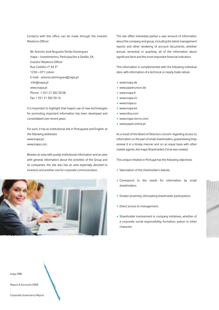Contacts with this office can be made through the Investor Relations Officer:

Mr. Antonio José Nogueira Simão Domingues Inapa – Investimentos, Participações e Gestão, SA Investor Relations Officer Rue Castilho nº 44 3ª 1250 – 071 Lisbon E-mail: antonio.domingues@inapa.pt info@inapa.pt www.inapa.pt Phone: + 351 21 382 30 08 Fax: + 351 21 382 30 16

It is important to highlight that Inapa's use of new technologies for promoting important information has been developed and consolidated over recent years.

For such, it has an institutional site in Portuguese and English, at the following addresses: www.inapa.pt, www.inapa.com,

Besides an area with purely institutional information and an area with general information about the activities of the Group and its companies, the site also has an area especially devoted to investors and another one for corporate communication.

![](_page_35_Picture_5.jpeg)

The site offers interested parties a vast amount of information about the company and group, including the latest management reports and other rendering of account documents, whether annual, semestral or quarterly, all of the information about significant facts and the most important financial indicators.

This information is complemented with the following individual sites, with information of a technical or clearly trade nature:

- www.inapa.de
- www.papierunion.de;
- www.inapa.fr
- www.inapa.ch
- www.inapa.lu
- www.inapa.be
- www.idisa.com
- www.inapa-tecno.com;
- www.papel.online.pt

As a result of the Board of Directors concern regarding access to information on the part of small shareholders, guaranteeing they receive it in a timely manner and on an equal basis with other market agents, the Inapa Shareholders Circle was created.

This unique initiative in Portugal has the following objectives:

- Valorisation of the shareholder's statute:
- Correspond to the needs for information by small shareholders;
- Greater proximity, stimulating shareholder participation;
- Direct access to management;
- Shareholder involvement in company initiatives, whether of a corporate, social responsibility, formation, patron or other character.

#### Inapa **174**

-

- Report & Accounts 2008

- -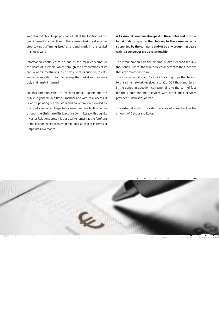With this initiative, Inapa positions itself at the forefront of the best international practices in these issues, taking yet another step towards affirming itself as a benchmark in the capital market as well.

Information continued to be one of the main concerns for the Board of Directors, which through the presentations of its annual and semestral results, disclosure of its quarterly results, and other important information, kept the market and its agents duly and timely informed.

For this communication to reach all market agents and the public in general, in a timely manner and with easy access, it is worth pointing out the work and collaboration provided by the media, for which Inapa has always been available whether through the Chairman of its Executive Committee, or through its Investor Relations area. It is our goal to remain at the forefront of the best practices in investor relations, as well as in terms of Corporate Governance.

**4.13. Annual compensation paid to the auditor and to other individuals or groups that belong to the same network supported by the company and/or by any group that bears with it a control or group relationship.**

The remuneration paid the external auditor reached the 477 thousand euros for the audit services inherent to the functions that are entrusted to him.

The external auditor and/or individuals or groups that belong to the same network received a total of 339 thousand Euros, in the period in question, corresponding to the sum of fees for the aforementioned services with other audit services provided subsidiaries abroad.

The external auditor provided services of consultant in the amount of 6 thousand Euros.

![](_page_36_Picture_7.jpeg)